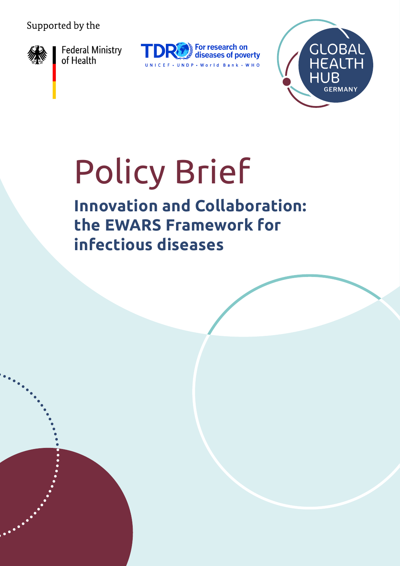#### Supported by the



Federal Ministry<br>of Health





# Policy Brief

**Innovation and Collaboration: the EWARS Framework for infectious diseases**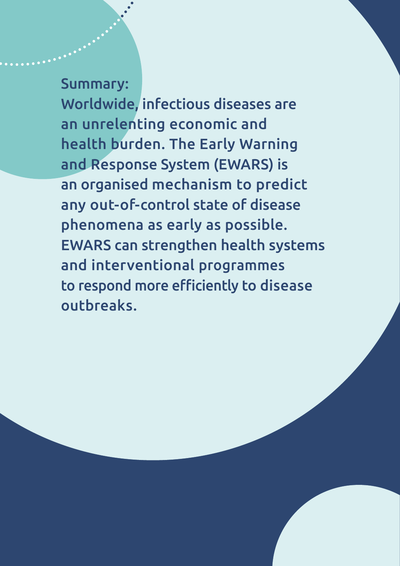Summary:

Worldwide, infectious diseases are an unrelenting economic and health burden. The Early Warning and Response System (EWARS) is an organised mechanism to predict any out-of-control state of disease phenomena as early as possible. EWARS can strengthen health systems and interventional programmes to respond more efficiently to disease outbreaks.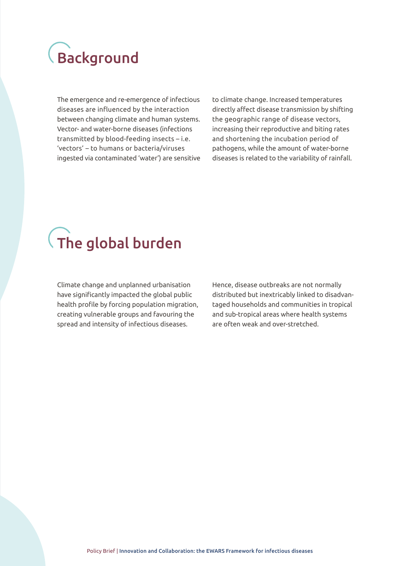#### Background

The emergence and re-emergence of infectious diseases are influenced by the interaction between changing climate and human systems. Vector- and water-borne diseases (infections transmitted by blood-feeding insects – i.e. 'vectors' – to humans or bacteria/viruses ingested via contaminated 'water') are sensitive to climate change. Increased temperatures directly affect disease transmission by shifting the geographic range of disease vectors, increasing their reproductive and biting rates and shortening the incubation period of pathogens, while the amount of water-borne diseases is related to the variability of rainfall.

## $\overline{\mathcal{A}}$  The global burden

Climate change and unplanned urbanisation have significantly impacted the global public health profile by forcing population migration, creating vulnerable groups and favouring the spread and intensity of infectious diseases.

Hence, disease outbreaks are not normally distributed but inextricably linked to disadvantaged households and communities in tropical and sub-tropical areas where health systems are often weak and over-stretched.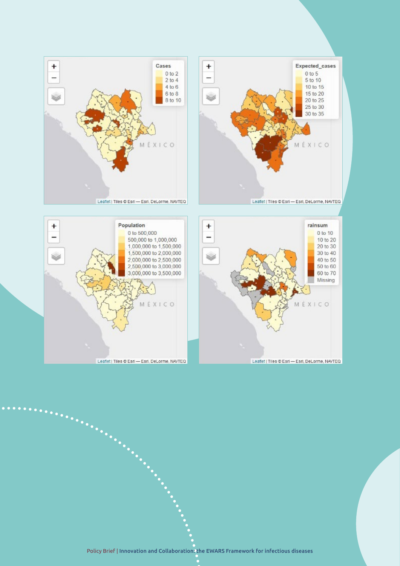

Leaflet | Tiles @ Esri - Esri, DeLorme, NAVTEQ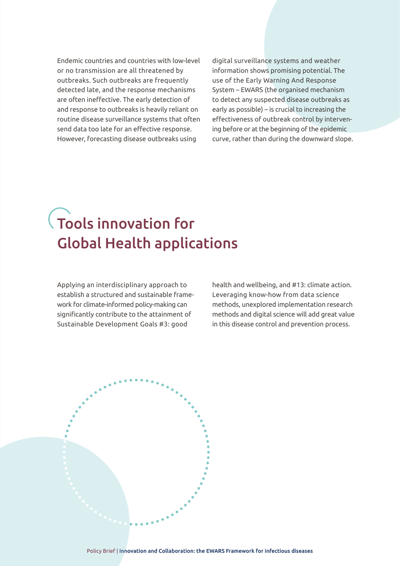Endemic countries and countries with low-level or no transmission are all threatened by outbreaks. Such outbreaks are frequently detected late, and the response mechanisms are often ineffective. The early detection of and response to outbreaks is heavily reliant on routine disease surveillance systems that often send data too late for an effective response. However, forecasting disease outbreaks using

digital surveillance systems and weather information shows promising potential. The use of the Early Warning And Response System – EWARS (the organised mechanism to detect any suspected disease outbreaks as early as possible) – is crucial to increasing the effectiveness of outbreak control by intervening before or at the beginning of the epidemic curve, rather than during the downward slope.

#### Tools innovation for Global Health applications

Applying an interdisciplinary approach to establish a structured and sustainable framework for climate-informed policy-making can significantly contribute to the attainment of Sustainable Development Goals #3: good

health and wellbeing, and #13: climate action. Leveraging know-how from data science methods, unexplored implementation research methods and digital science will add great value in this disease control and prevention process.

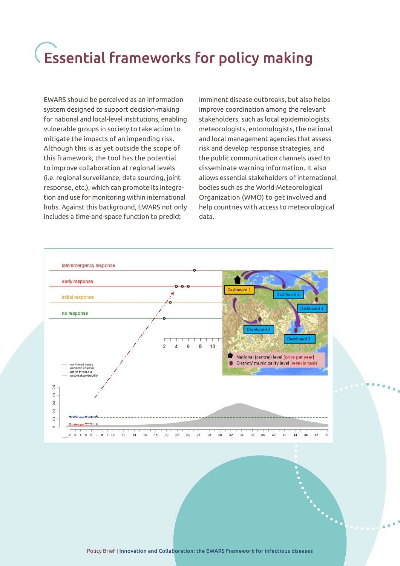### Essential frameworks for policy making

EWARS should be perceived as an information system designed to support decision-making for national and local-level institutions, enabling vulnerable groups in society to take action to mitigate the impacts of an impending risk. Although this is as yet outside the scope of this framework, the tool has the potential to improve collaboration at regional levels (i.e. regional surveillance, data sourcing, joint response, etc.), which can promote its integration and use for monitoring within international hubs. Against this background, EWARS not only includes a time-and-space function to predict

imminent disease outbreaks, but also helps improve coordination among the relevant stakeholders, such as local epidemiologists, meteorologists, entomologists, the national and local management agencies that assess risk and develop response strategies, and the public communication channels used to disseminate warning information. It also allows essential stakeholders of international bodies such as the World Meteorological Organization (WMO) to get involved and help countries with access to meteorological data.

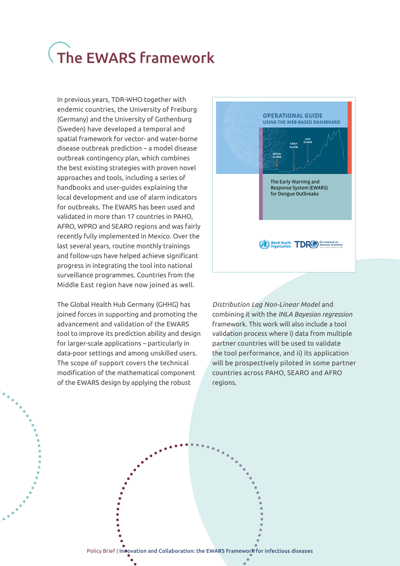## The EWARS framework

In previous years, TDR-WHO together with endemic countries, the University of Freiburg (Germany) and the University of Gothenburg (Sweden) have developed a temporal and spatial framework for vector- and water-borne disease outbreak prediction – a model disease outbreak contingency plan, which combines the best existing strategies with proven novel approaches and tools, including a series of handbooks and user-guides explaining the local development and use of alarm indicators for outbreaks. The EWARS has been used and validated in more than 17 countries in PAHO, AFRO, WPRO and SEARO regions and was fairly recently fully implemented in Mexico. Over the last several years, routine monthly trainings and follow-ups have helped achieve significant progress in integrating the tool into national surveillance programmes. Countries from the Middle East region have now joined as well.

The Global Health Hub Germany (GHHG) has joined forces in supporting and promoting the advancement and validation of the EWARS tool to improve its prediction ability and design for larger-scale applications – particularly in data-poor settings and among unskilled users. The scope of support covers the technical modification of the mathematical component of the EWARS design by applying the robust



*Distribution Lag Non-Linear Model* and combining it with the *INLA Bayesian regression* framework. This work will also include a tool validation process where i) data from multiple partner countries will be used to validate the tool performance, and ii) its application will be prospectively piloted in some partner countries across PAHO, SEARO and AFRO regions.

Policy Brief | Inflovation and Collaboration: the EWARS Framework for infectious diseases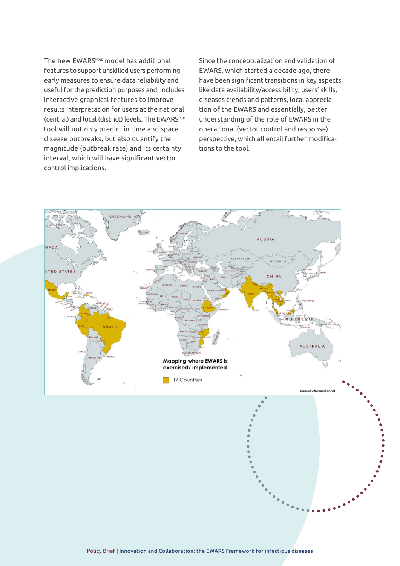The new EWARS<sup>Plus</sup> model has additional features to support unskilled users performing early measures to ensure data reliability and useful for the prediction purposes and, includes interactive graphical features to improve results interpretation for users at the national (central) and local (district) levels. The EWARS<sup>Plus</sup> tool will not only predict in time and space disease outbreaks, but also quantify the magnitude (outbreak rate) and its certainty interval, which will have significant vector control implications.

Since the conceptualization and validation of EWARS, which started a decade ago, there have been significant transitions in key aspects like data availability/accessibility, users' skills, diseases trends and patterns, local appreciation of the EWARS and essentially, better understanding of the role of EWARS in the operational (vector control and response) perspective, which all entail further modifications to the tool.

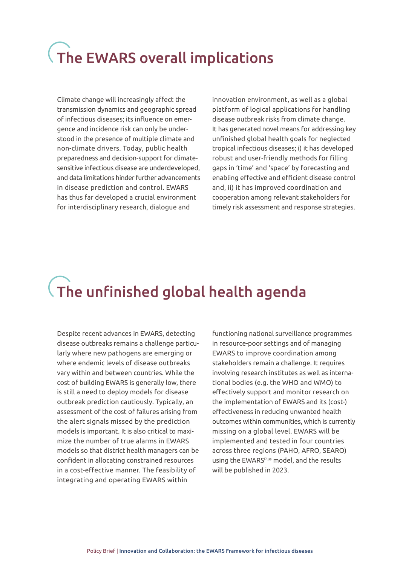## The EWARS overall implications

Climate change will increasingly affect the transmission dynamics and geographic spread of infectious diseases; its influence on emergence and incidence risk can only be understood in the presence of multiple climate and non-climate drivers. Today, public health preparedness and decision-support for climatesensitive infectious disease are underdeveloped, and data limitations hinder further advancements in disease prediction and control. EWARS has thus far developed a crucial environment for interdisciplinary research, dialogue and

innovation environment, as well as a global platform of logical applications for handling disease outbreak risks from climate change. It has generated novel means for addressing key unfinished global health goals for neglected tropical infectious diseases; i) it has developed robust and user-friendly methods for filling gaps in 'time' and 'space' by forecasting and enabling effective and efficient disease control and, ii) it has improved coordination and cooperation among relevant stakeholders for timely risk assessment and response strategies.

### The unfinished global health agenda

Despite recent advances in EWARS, detecting disease outbreaks remains a challenge particularly where new pathogens are emerging or where endemic levels of disease outbreaks vary within and between countries. While the cost of building EWARS is generally low, there is still a need to deploy models for disease outbreak prediction cautiously. Typically, an assessment of the cost of failures arising from the alert signals missed by the prediction models is important. It is also critical to maximize the number of true alarms in EWARS models so that district health managers can be confident in allocating constrained resources in a cost-effective manner. The feasibility of integrating and operating EWARS within

functioning national surveillance programmes in resource-poor settings and of managing EWARS to improve coordination among stakeholders remain a challenge. It requires involving research institutes as well as international bodies (e.g. the WHO and WMO) to effectively support and monitor research on the implementation of EWARS and its (cost-) effectiveness in reducing unwanted health outcomes within communities, which is currently missing on a global level. EWARS will be implemented and tested in four countries across three regions (PAHO, AFRO, SEARO) using the EWARS<sup>Plus</sup> model, and the results will be published in 2023.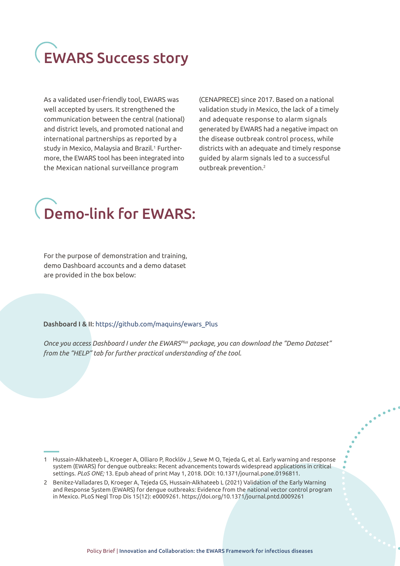# EWARS Success story

As a validated user-friendly tool, EWARS was well accepted by users. It strengthened the communication between the central (national) and district levels, and promoted national and international partnerships as reported by a study in Mexico, Malaysia and Brazil.<sup>1</sup> Furthermore, the EWARS tool has been integrated into the Mexican national surveillance program

(CENAPRECE) since 2017. Based on a national validation study in Mexico, the lack of a timely and adequate response to alarm signals generated by EWARS had a negative impact on the disease outbreak control process, while districts with an adequate and timely response guided by alarm signals led to a successful outbreak prevention.2

#### Demo-link for EWARS:

For the purpose of demonstration and training, demo Dashboard accounts and a demo dataset are provided in the box below:

#### Dashboard I & II: [https://github.com/maquins/ewars\\_Plus](https://github.com/maquins/ewars_Plus)

*Once you access Dashboard I under the EWARSPlus package, you can download the "Demo Dataset" from the "HELP" tab for further practical understanding of the tool.*

1 Hussain-Alkhateeb L, Kroeger A, Olliaro P, Rocklöv J, Sewe M O, Tejeda G, et al. Early warning and response system (EWARS) for dengue outbreaks: Recent advancements towards widespread applications in critical settings. *PLoS ONE;* 13. Epub ahead of print May 1, 2018. DOI: 10.1371/journal.pone.0196811.

<sup>2</sup> Benitez-Valladares D, Kroeger A, Tejeda GS, Hussain-Alkhateeb L (2021) Validation of the Early Warning and Response System (EWARS) for dengue outbreaks: Evidence from the national vector control program in Mexico. PLoS Negl Trop Dis 15(12): e0009261. <https://doi.org/10.1371/journal.pntd.0009261>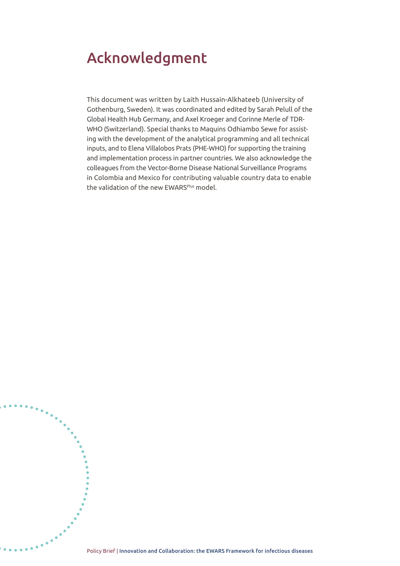#### Acknowledgment

 $\ddot{\bullet}\dot{\bullet}\dot{\bullet}\dot{\bullet}$ 

This document was written by Laith Hussain-Alkhateeb (University of Gothenburg, Sweden). It was coordinated and edited by Sarah Pelull of the Global Health Hub Germany, and Axel Kroeger and Corinne Merle of TDR-WHO (Switzerland). Special thanks to Maquins Odhiambo Sewe for assisting with the development of the analytical programming and all technical inputs, and to Elena Villalobos Prats (PHE-WHO) for supporting the training and implementation process in partner countries. We also acknowledge the colleagues from the Vector-Borne Disease National Surveillance Programs in Colombia and Mexico for contributing valuable country data to enable the validation of the new EWARS<sup>Plus</sup> model.